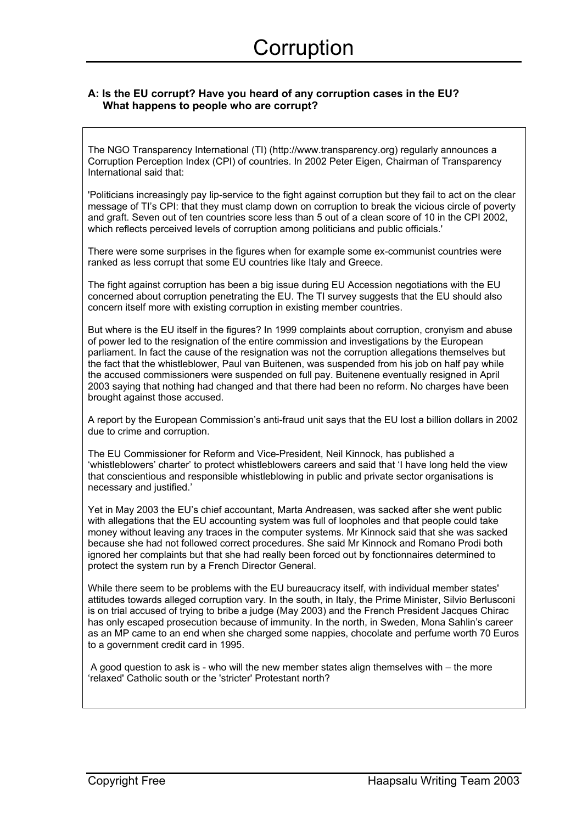#### **A: Is the EU corrupt? Have you heard of any corruption cases in the EU? What happens to people who are corrupt?**

The NGO Transparency International (TI) (http://www.transparency.org) regularly announces a Corruption Perception Index (CPI) of countries. In 2002 Peter Eigen, Chairman of Transparency International said that:

'Politicians increasingly pay lip-service to the fight against corruption but they fail to act on the clear message of TI's CPI: that they must clamp down on corruption to break the vicious circle of poverty and graft. Seven out of ten countries score less than 5 out of a clean score of 10 in the CPI 2002, which reflects perceived levels of corruption among politicians and public officials.'

There were some surprises in the figures when for example some ex-communist countries were ranked as less corrupt that some EU countries like Italy and Greece.

The fight against corruption has been a big issue during EU Accession negotiations with the EU concerned about corruption penetrating the EU. The TI survey suggests that the EU should also concern itself more with existing corruption in existing member countries.

But where is the EU itself in the figures? In 1999 complaints about corruption, cronyism and abuse of power led to the resignation of the entire commission and investigations by the European parliament. In fact the cause of the resignation was not the corruption allegations themselves but the fact that the whistleblower, Paul van Buitenen, was suspended from his job on half pay while the accused commissioners were suspended on full pay. Buitenene eventually resigned in April 2003 saying that nothing had changed and that there had been no reform. No charges have been brought against those accused.

A report by the European Commission's anti-fraud unit says that the EU lost a billion dollars in 2002 due to crime and corruption.

The EU Commissioner for Reform and Vice-President, Neil Kinnock, has published a 'whistleblowers' charter' to protect whistleblowers careers and said that 'I have long held the view that conscientious and responsible whistleblowing in public and private sector organisations is necessary and justified.'

Yet in May 2003 the EU's chief accountant, Marta Andreasen, was sacked after she went public with allegations that the EU accounting system was full of loopholes and that people could take money without leaving any traces in the computer systems. Mr Kinnock said that she was sacked because she had not followed correct procedures. She said Mr Kinnock and Romano Prodi both ignored her complaints but that she had really been forced out by fonctionnaires determined to protect the system run by a French Director General.

While there seem to be problems with the EU bureaucracy itself, with individual member states' attitudes towards alleged corruption vary. In the south, in Italy, the Prime Minister, Silvio Berlusconi is on trial accused of trying to bribe a judge (May 2003) and the French President Jacques Chirac has only escaped prosecution because of immunity. In the north, in Sweden, Mona Sahlin's career as an MP came to an end when she charged some nappies, chocolate and perfume worth 70 Euros to a government credit card in 1995.

 A good question to ask is - who will the new member states align themselves with – the more 'relaxed' Catholic south or the 'stricter' Protestant north?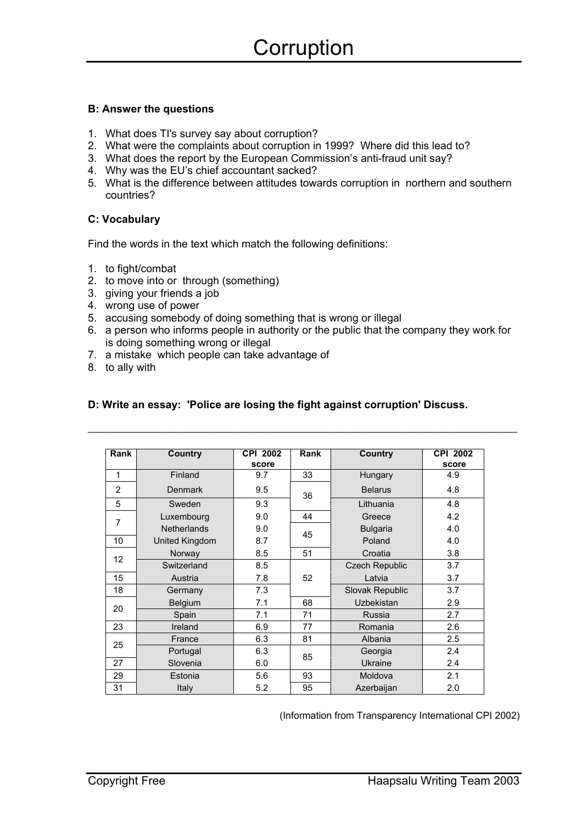### **B: Answer the questions**

- 1. What does TI's survey say about corruption?
- 2. What were the complaints about corruption in 1999? Where did this lead to?
- 3. What does the report by the European Commission's anti-fraud unit say?
- 4. Why was the EU's chief accountant sacked?
- 5. What is the difference between attitudes towards corruption in northern and southern countries?

## **C: Vocabulary**

Find the words in the text which match the following definitions:

- 1. to fight/combat
- 2. to move into or through (something)
- 3. giving your friends a job
- 4. wrong use of power
- 5. accusing somebody of doing something that is wrong or illegal
- 6. a person who informs people in authority or the public that the company they work for is doing something wrong or illegal

 $\_$  ,  $\_$  ,  $\_$  ,  $\_$  ,  $\_$  ,  $\_$  ,  $\_$  ,  $\_$  ,  $\_$  ,  $\_$  ,  $\_$  ,  $\_$  ,  $\_$  ,  $\_$  ,  $\_$  ,  $\_$  ,  $\_$  ,  $\_$  ,  $\_$  ,  $\_$  ,  $\_$  ,  $\_$  ,  $\_$  ,  $\_$  ,  $\_$  ,  $\_$  ,  $\_$  ,  $\_$  ,  $\_$  ,  $\_$  ,  $\_$  ,  $\_$  ,  $\_$  ,  $\_$  ,  $\_$  ,  $\_$  ,  $\_$  ,

- 7. a mistake which people can take advantage of
- 8. to ally with

## **D: Write an essay: 'Police are losing the fight against corruption' Discuss.**

| Rank           | Country            | <b>CPI 2002</b><br>score | Rank | Country               | <b>CPI 2002</b><br>score |
|----------------|--------------------|--------------------------|------|-----------------------|--------------------------|
| 1              | Finland            | 9.7                      | 33   | Hungary               | 4.9                      |
| $\overline{2}$ | <b>Denmark</b>     | 9.5                      | 36   | <b>Belarus</b>        | 4.8                      |
| 5              | Sweden             | 9.3                      |      | Lithuania             | 4.8                      |
| 7              | Luxembourg         | 9.0                      | 44   | Greece                | 4.2                      |
|                | <b>Netherlands</b> | 9.0                      | 45   | <b>Bulgaria</b>       | 4.0                      |
| 10             | United Kingdom     | 8.7                      |      | Poland                | 4.0                      |
| 12             | Norway             | 8.5                      | 51   | Croatia               | 3.8                      |
|                | Switzerland        | 8.5                      |      | <b>Czech Republic</b> | 3.7                      |
| 15             | Austria            | 7.8                      | 52   | Latvia                | 3.7                      |
| 18             | Germany            | 7.3                      |      | Slovak Republic       | 3.7                      |
| 20             | <b>Belgium</b>     | 7.1                      | 68   | Uzbekistan            | 2.9                      |
|                | Spain              | 7.1                      | 71   | Russia                | 2.7                      |
| 23             | Ireland            | 6.9                      | 77   | Romania               | 2.6                      |
| 25             | France             | 6.3                      | 81   | Albania               | 2.5                      |
|                | Portugal           | 6.3                      | 85   | Georgia               | 2.4                      |
| 27             | Slovenia           | 6.0                      |      | Ukraine               | 2.4                      |
| 29             | Estonia            | 5.6                      | 93   | Moldova               | 2.1                      |
| 31             | Italy              | 5.2                      | 95   | Azerbaijan            | 2.0                      |

(Information from Transparency International CPI 2002)